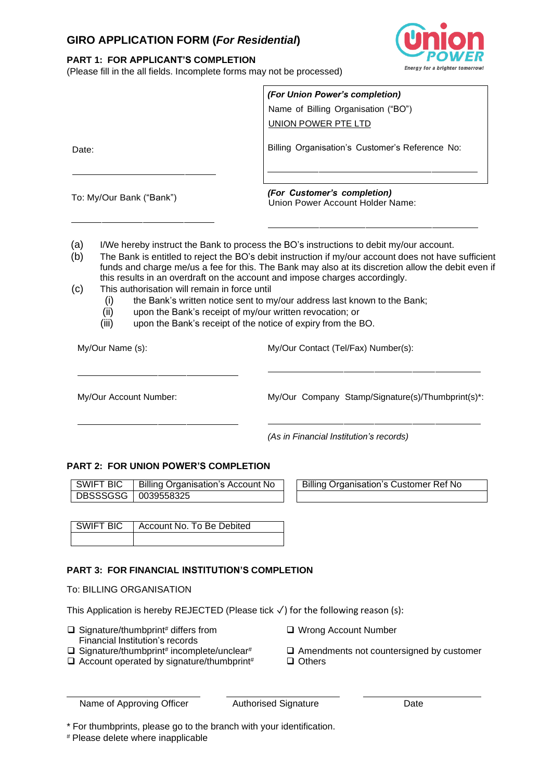# **GIRO APPLICATION FORM (***For Residential***)**

## **PART 1: FOR APPLICANT'S COMPLETION**

(Please fill in the all fields. Incomplete forms may not be processed)



|                          | (For Union Power's completion)<br>Name of Billing Organisation ("BO")<br>UNION POWER PTE LTD                                                                                                                                                                                                          |
|--------------------------|-------------------------------------------------------------------------------------------------------------------------------------------------------------------------------------------------------------------------------------------------------------------------------------------------------|
| Date:                    | Billing Organisation's Customer's Reference No:                                                                                                                                                                                                                                                       |
| To: My/Our Bank ("Bank") | (For Customer's completion)<br>Union Power Account Holder Name:                                                                                                                                                                                                                                       |
| (a)<br>(b)               | I/We hereby instruct the Bank to process the BO's instructions to debit my/our account.<br>The Bank is entitled to reject the BO's debit instruction if my/our account does not have sufficient<br>funds and charge me/us a fee for this. The Bank may also at its discretion allow the debit even if |

- this results in an overdraft on the account and impose charges accordingly.
- (c) This authorisation will remain in force until
	- (i) the Bank's written notice sent to my/our address last known to the Bank;<br>(ii) upon the Bank's receipt of my/our written revocation; or
	- upon the Bank's receipt of my/our written revocation; or
	- (iii) upon the Bank's receipt of the notice of expiry from the BO.

My/Our Name (s): My/Our Contact (Tel/Fax) Number(s):

My/Our Account Number: My/Our Company Stamp/Signature(s)/Thumbprint(s)\*:

*(As in Financial Institution's records)*

### **PART 2: FOR UNION POWER'S COMPLETION**

| I SWIFT BIC           | Billing Organisation's Account No |
|-----------------------|-----------------------------------|
| DBSSSGSG   0039558325 |                                   |

Billing Organisation's Customer Ref No

| SWIFT BIC   Account No. To Be Debited |
|---------------------------------------|
|                                       |

## **PART 3: FOR FINANCIAL INSTITUTION'S COMPLETION**

To: BILLING ORGANISATION

This Application is hereby REJECTED (Please tick ✓) for the following reason (s):

- $\Box$  Signature/thumbprint<sup>#</sup> differs from
- Financial Institution's records
- $\square$  Signature/thumbprint# incomplete/unclear#
- ❑ Wrong Account Number
- $\Box$  Amendments not countersigned by customer
- $\Box$  Account operated by signature/thumbprint#  $\Box$  Others
	-

\* For thumbprints, please go to the branch with your identification.

# Please delete where inapplicable

Name of Approving Officer Authorised Signature Date